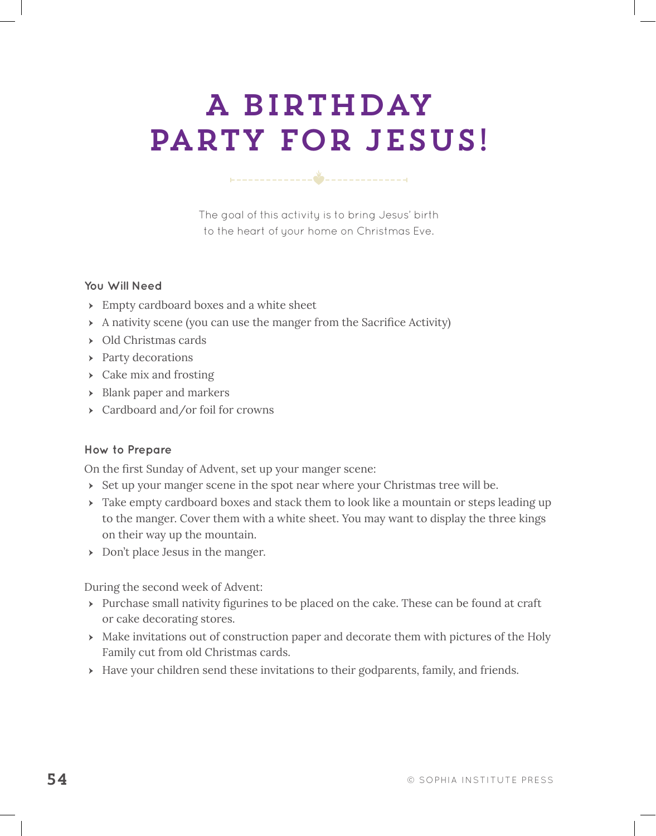# A Birthday party for jesus!

The goal of this activity is to bring Jesus' birth to the heart of your home on Christmas Eve.

### **You Will Need**

- Empty cardboard boxes and a white sheet
- A nativity scene (you can use the manger from the Sacrifce Activity)
- Old Christmas cards
- Party decorations
- $\rightarrow$  Cake mix and frosting
- Blank paper and markers
- Cardboard and/or foil for crowns

# **How to Prepare**

On the frst Sunday of Advent, set up your manger scene:

- Set up your manger scene in the spot near where your Christmas tree will be.
- Take empty cardboard boxes and stack them to look like a mountain or steps leading up to the manger. Cover them with a white sheet. You may want to display the three kings on their way up the mountain.
- Don't place Jesus in the manger.

During the second week of Advent:

- Purchase small nativity fgurines to be placed on the cake. These can be found at craft or cake decorating stores.
- Make invitations out of construction paper and decorate them with pictures of the Holy Family cut from old Christmas cards.
- Have your children send these invitations to their godparents, family, and friends.